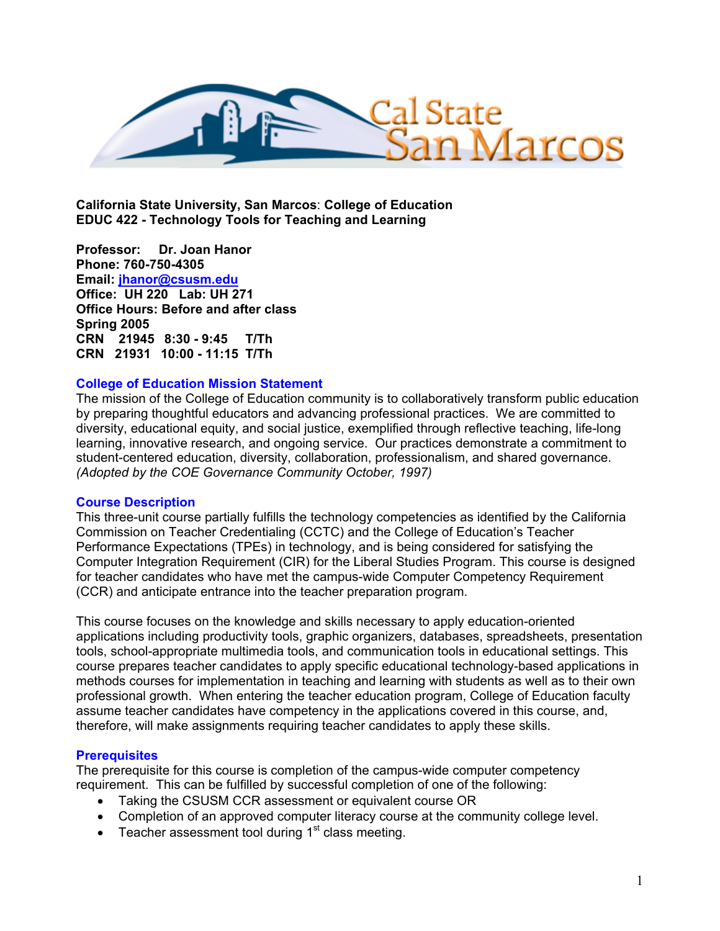

**California State University, San Marcos**: **College of Education EDUC 422 - Technology Tools for Teaching and Learning** 

**Professor: Dr. Joan Hanor Phone: 760-750-4305 Email: jhanor@csusm.edu Office: UH 220 Lab: UH 271 Office Hours: Before and after class Spring 2005 CRN 21945 8:30 - 9:45 T/Th CRN 21931 10:00 - 11:15 T/Th** 

#### **College of Education Mission Statement**

The mission of the College of Education community is to collaboratively transform public education by preparing thoughtful educators and advancing professional practices. We are committed to diversity, educational equity, and social justice, exemplified through reflective teaching, life-long learning, innovative research, and ongoing service. Our practices demonstrate a commitment to student-centered education, diversity, collaboration, professionalism, and shared governance. *(Adopted by the COE Governance Community October, 1997)* 

#### **Course Description**

This three-unit course partially fulfills the technology competencies as identified by the California Commission on Teacher Credentialing (CCTC) and the College of Education's Teacher Performance Expectations (TPEs) in technology, and is being considered for satisfying the Computer Integration Requirement (CIR) for the Liberal Studies Program. This course is designed for teacher candidates who have met the campus-wide Computer Competency Requirement (CCR) and anticipate entrance into the teacher preparation program.

This course focuses on the knowledge and skills necessary to apply education-oriented applications including productivity tools, graphic organizers, databases, spreadsheets, presentation tools, school-appropriate multimedia tools, and communication tools in educational settings. This course prepares teacher candidates to apply specific educational technology-based applications in methods courses for implementation in teaching and learning with students as well as to their own professional growth. When entering the teacher education program, College of Education faculty assume teacher candidates have competency in the applications covered in this course, and, therefore, will make assignments requiring teacher candidates to apply these skills.

## **Prerequisites**

The prerequisite for this course is completion of the campus-wide computer competency requirement. This can be fulfilled by successful completion of one of the following:

- Taking the CSUSM CCR assessment or equivalent course OR
- Completion of an approved computer literacy course at the community college level.
- Teacher assessment tool during  $1<sup>st</sup>$  class meeting.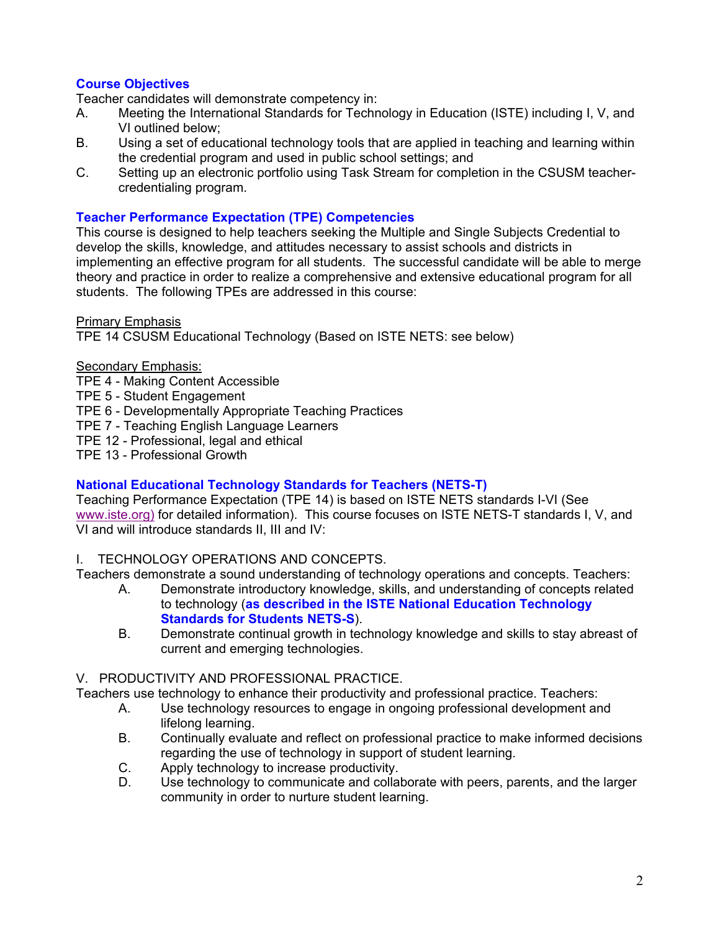# **Course Objectives**

Teacher candidates will demonstrate competency in:

- A. Meeting the International Standards for Technology in Education (ISTE) including I, V, and VI outlined below;
- B. Using a set of educational technology tools that are applied in teaching and learning within the credential program and used in public school settings; and
- C. Setting up an electronic portfolio using Task Stream for completion in the CSUSM teachercredentialing program.

### **Teacher Performance Expectation (TPE) Competencies**

This course is designed to help teachers seeking the Multiple and Single Subjects Credential to develop the skills, knowledge, and attitudes necessary to assist schools and districts in implementing an effective program for all students. The successful candidate will be able to merge theory and practice in order to realize a comprehensive and extensive educational program for all students. The following TPEs are addressed in this course:

Primary Emphasis

TPE 14 CSUSM Educational Technology (Based on ISTE NETS: see below)

### Secondary Emphasis:

TPE 4 - Making Content Accessible

- TPE 5 Student Engagement
- TPE 6 Developmentally Appropriate Teaching Practices
- TPE 7 Teaching English Language Learners

TPE 12 - Professional, legal and ethical

TPE 13 - Professional Growth

## **National Educational Technology Standards for Teachers (NETS-T)**

Teaching Performance Expectation (TPE 14) is based on ISTE NETS standards I-VI (See www.iste.org) for detailed information). This course focuses on ISTE NETS-T standards I, V, and VI and will introduce standards II, III and IV:

## I. TECHNOLOGY OPERATIONS AND CONCEPTS.

Teachers demonstrate a sound understanding of technology operations and concepts. Teachers:

- A. Demonstrate introductory knowledge, skills, and understanding of concepts related to technology (**as described in the ISTE National Education Technology Standards for Students NETS-S**).
- B. Demonstrate continual growth in technology knowledge and skills to stay abreast of current and emerging technologies.

## V. PRODUCTIVITY AND PROFESSIONAL PRACTICE.

Teachers use technology to enhance their productivity and professional practice. Teachers:

- A. Use technology resources to engage in ongoing professional development and lifelong learning.
- B. Continually evaluate and reflect on professional practice to make informed decisions regarding the use of technology in support of student learning.
- C. Apply technology to increase productivity.
- D. Use technology to communicate and collaborate with peers, parents, and the larger community in order to nurture student learning.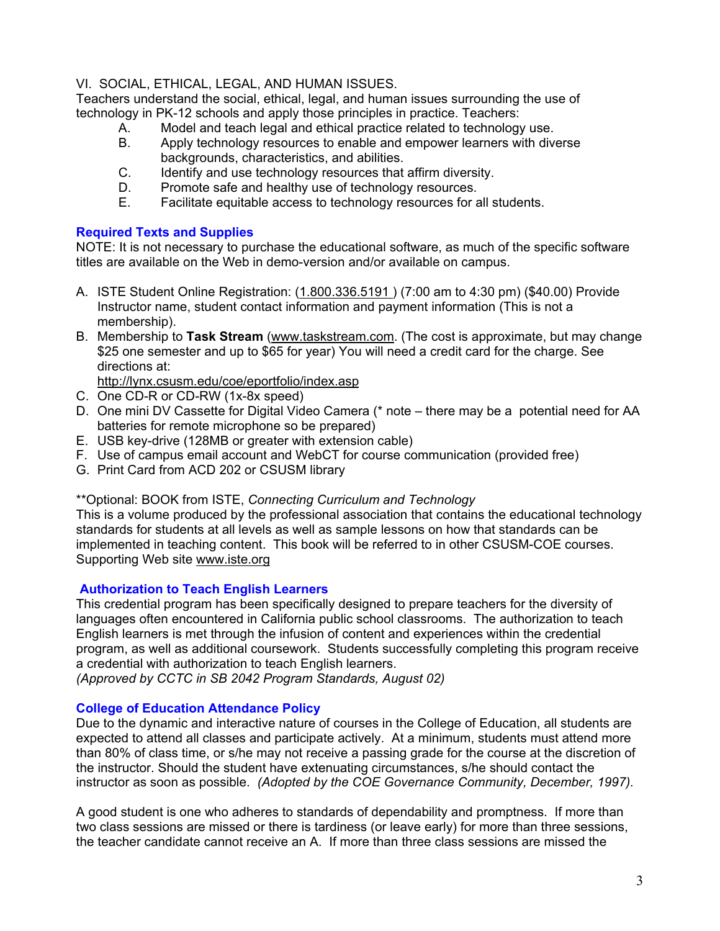## VI. SOCIAL, ETHICAL, LEGAL, AND HUMAN ISSUES.

Teachers understand the social, ethical, legal, and human issues surrounding the use of technology in PK-12 schools and apply those principles in practice. Teachers:

- A. Model and teach legal and ethical practice related to technology use.<br>B. Apply technology resources to enable and empower learners with dive
- Apply technology resources to enable and empower learners with diverse backgrounds, characteristics, and abilities.
- C. Identify and use technology resources that affirm diversity.
- D. Promote safe and healthy use of technology resources.
- E. Facilitate equitable access to technology resources for all students.

# **Required Texts and Supplies**

NOTE: It is not necessary to purchase the educational software, as much of the specific software titles are available on the Web in demo-version and/or available on campus.

- A. ISTE Student Online Registration: (1.800.336.5191 ) (7:00 am to 4:30 pm) (\$40.00) Provide Instructor name, student contact information and payment information (This is not a membership).
- B. Membership to **Task Stream** (www.taskstream.com. (The cost is approximate, but may change \$25 one semester and up to \$65 for year) You will need a credit card for the charge. See directions at:

http://lynx.csusm.edu/coe/eportfolio/index.asp

- C. One CD-R or CD-RW (1x-8x speed)
- D. One mini DV Cassette for Digital Video Camera (\* note there may be a potential need for AA batteries for remote microphone so be prepared)
- E. USB key-drive (128MB or greater with extension cable)
- F. Use of campus email account and WebCT for course communication (provided free)
- G. Print Card from ACD 202 or CSUSM library

\*\*Optional: BOOK from ISTE, *Connecting Curriculum and Technology*

This is a volume produced by the professional association that contains the educational technology standards for students at all levels as well as sample lessons on how that standards can be implemented in teaching content. This book will be referred to in other CSUSM-COE courses. Supporting Web site www.iste.org

## **Authorization to Teach English Learners**

This credential program has been specifically designed to prepare teachers for the diversity of languages often encountered in California public school classrooms. The authorization to teach English learners is met through the infusion of content and experiences within the credential program, as well as additional coursework. Students successfully completing this program receive a credential with authorization to teach English learners.

*(Approved by CCTC in SB 2042 Program Standards, August 02)*

## **College of Education Attendance Policy**

Due to the dynamic and interactive nature of courses in the College of Education, all students are expected to attend all classes and participate actively. At a minimum, students must attend more than 80% of class time, or s/he may not receive a passing grade for the course at the discretion of the instructor. Should the student have extenuating circumstances, s/he should contact the instructor as soon as possible. *(Adopted by the COE Governance Community, December, 1997).*

A good student is one who adheres to standards of dependability and promptness. If more than two class sessions are missed or there is tardiness (or leave early) for more than three sessions, the teacher candidate cannot receive an A. If more than three class sessions are missed the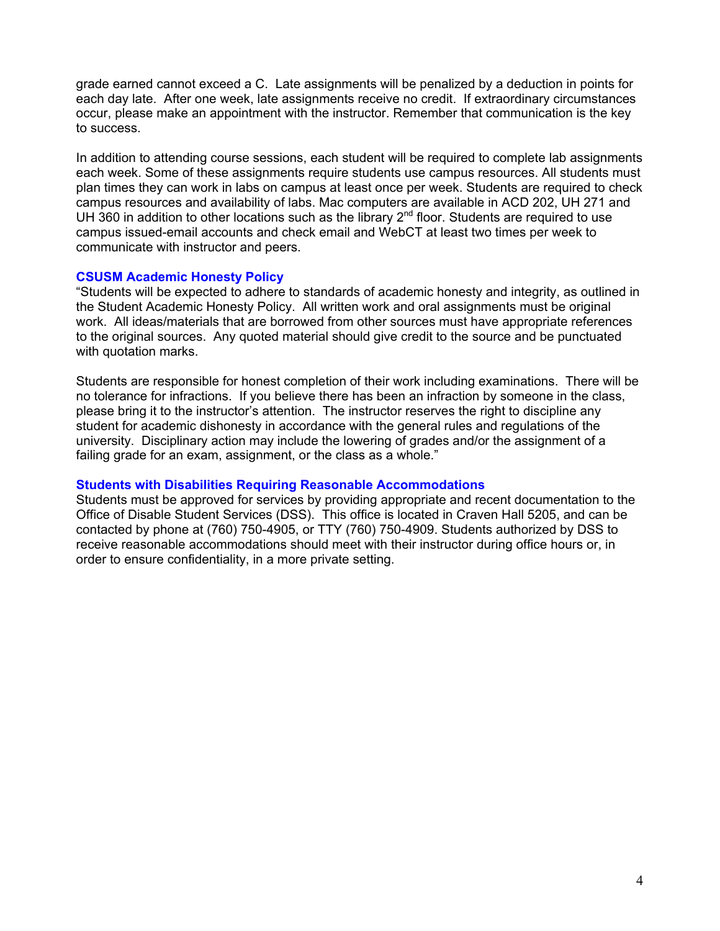grade earned cannot exceed a C. Late assignments will be penalized by a deduction in points for each day late. After one week, late assignments receive no credit. If extraordinary circumstances occur, please make an appointment with the instructor. Remember that communication is the key to success.

In addition to attending course sessions, each student will be required to complete lab assignments each week. Some of these assignments require students use campus resources. All students must plan times they can work in labs on campus at least once per week. Students are required to check campus resources and availability of labs. Mac computers are available in ACD 202, UH 271 and UH 360 in addition to other locations such as the library  $2^{nd}$  floor. Students are required to use campus issued-email accounts and check email and WebCT at least two times per week to communicate with instructor and peers.

### **CSUSM Academic Honesty Policy**

"Students will be expected to adhere to standards of academic honesty and integrity, as outlined in the Student Academic Honesty Policy. All written work and oral assignments must be original work. All ideas/materials that are borrowed from other sources must have appropriate references to the original sources. Any quoted material should give credit to the source and be punctuated with quotation marks.

Students are responsible for honest completion of their work including examinations. There will be no tolerance for infractions. If you believe there has been an infraction by someone in the class, please bring it to the instructor's attention. The instructor reserves the right to discipline any student for academic dishonesty in accordance with the general rules and regulations of the university. Disciplinary action may include the lowering of grades and/or the assignment of a failing grade for an exam, assignment, or the class as a whole."

#### **Students with Disabilities Requiring Reasonable Accommodations**

Students must be approved for services by providing appropriate and recent documentation to the Office of Disable Student Services (DSS). This office is located in Craven Hall 5205, and can be contacted by phone at (760) 750-4905, or TTY (760) 750-4909. Students authorized by DSS to receive reasonable accommodations should meet with their instructor during office hours or, in order to ensure confidentiality, in a more private setting.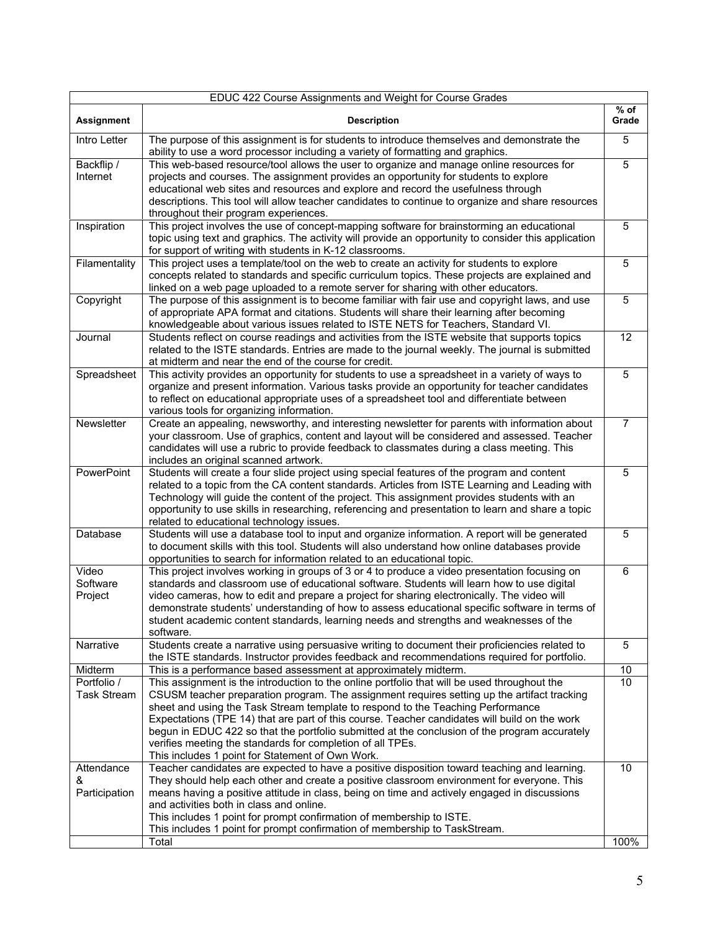| EDUC 422 Course Assignments and Weight for Course Grades |                                                                                                                                                                                                                                                                                                                                                                                                                                                                                                                                                                                                    |                 |  |  |
|----------------------------------------------------------|----------------------------------------------------------------------------------------------------------------------------------------------------------------------------------------------------------------------------------------------------------------------------------------------------------------------------------------------------------------------------------------------------------------------------------------------------------------------------------------------------------------------------------------------------------------------------------------------------|-----------------|--|--|
| <b>Assignment</b>                                        | <b>Description</b>                                                                                                                                                                                                                                                                                                                                                                                                                                                                                                                                                                                 | $%$ of<br>Grade |  |  |
| Intro Letter                                             | The purpose of this assignment is for students to introduce themselves and demonstrate the<br>ability to use a word processor including a variety of formatting and graphics.                                                                                                                                                                                                                                                                                                                                                                                                                      | 5               |  |  |
| Backflip /<br>Internet                                   | This web-based resource/tool allows the user to organize and manage online resources for<br>projects and courses. The assignment provides an opportunity for students to explore<br>educational web sites and resources and explore and record the usefulness through<br>descriptions. This tool will allow teacher candidates to continue to organize and share resources<br>throughout their program experiences.                                                                                                                                                                                | 5               |  |  |
| Inspiration                                              | This project involves the use of concept-mapping software for brainstorming an educational<br>topic using text and graphics. The activity will provide an opportunity to consider this application<br>for support of writing with students in K-12 classrooms.                                                                                                                                                                                                                                                                                                                                     | 5               |  |  |
| Filamentality                                            | This project uses a template/tool on the web to create an activity for students to explore<br>concepts related to standards and specific curriculum topics. These projects are explained and<br>linked on a web page uploaded to a remote server for sharing with other educators.                                                                                                                                                                                                                                                                                                                 | 5               |  |  |
| Copyright                                                | The purpose of this assignment is to become familiar with fair use and copyright laws, and use<br>of appropriate APA format and citations. Students will share their learning after becoming<br>knowledgeable about various issues related to ISTE NETS for Teachers, Standard VI.                                                                                                                                                                                                                                                                                                                 | 5               |  |  |
| Journal                                                  | Students reflect on course readings and activities from the ISTE website that supports topics<br>related to the ISTE standards. Entries are made to the journal weekly. The journal is submitted<br>at midterm and near the end of the course for credit.                                                                                                                                                                                                                                                                                                                                          | 12              |  |  |
| Spreadsheet                                              | This activity provides an opportunity for students to use a spreadsheet in a variety of ways to<br>organize and present information. Various tasks provide an opportunity for teacher candidates<br>to reflect on educational appropriate uses of a spreadsheet tool and differentiate between<br>various tools for organizing information.                                                                                                                                                                                                                                                        | 5               |  |  |
| Newsletter                                               | Create an appealing, newsworthy, and interesting newsletter for parents with information about<br>your classroom. Use of graphics, content and layout will be considered and assessed. Teacher<br>candidates will use a rubric to provide feedback to classmates during a class meeting. This<br>includes an original scanned artwork.                                                                                                                                                                                                                                                             | $\overline{7}$  |  |  |
| PowerPoint                                               | Students will create a four slide project using special features of the program and content<br>related to a topic from the CA content standards. Articles from ISTE Learning and Leading with<br>Technology will guide the content of the project. This assignment provides students with an<br>opportunity to use skills in researching, referencing and presentation to learn and share a topic<br>related to educational technology issues.                                                                                                                                                     | 5               |  |  |
| Database                                                 | Students will use a database tool to input and organize information. A report will be generated<br>to document skills with this tool. Students will also understand how online databases provide<br>opportunities to search for information related to an educational topic.                                                                                                                                                                                                                                                                                                                       | $\overline{5}$  |  |  |
| Video<br>Software<br>Project                             | This project involves working in groups of 3 or 4 to produce a video presentation focusing on<br>standards and classroom use of educational software. Students will learn how to use digital<br>video cameras, how to edit and prepare a project for sharing electronically. The video will<br>demonstrate students' understanding of how to assess educational specific software in terms of<br>student academic content standards, learning needs and strengths and weaknesses of the<br>software.                                                                                               | 6               |  |  |
| Narrative                                                | Students create a narrative using persuasive writing to document their proficiencies related to<br>the ISTE standards. Instructor provides feedback and recommendations required for portfolio.                                                                                                                                                                                                                                                                                                                                                                                                    | 5               |  |  |
| Midterm                                                  | This is a performance based assessment at approximately midterm.                                                                                                                                                                                                                                                                                                                                                                                                                                                                                                                                   | $10$            |  |  |
| Portfolio /<br><b>Task Stream</b>                        | This assignment is the introduction to the online portfolio that will be used throughout the<br>CSUSM teacher preparation program. The assignment requires setting up the artifact tracking<br>sheet and using the Task Stream template to respond to the Teaching Performance<br>Expectations (TPE 14) that are part of this course. Teacher candidates will build on the work<br>begun in EDUC 422 so that the portfolio submitted at the conclusion of the program accurately<br>verifies meeting the standards for completion of all TPEs.<br>This includes 1 point for Statement of Own Work. | 10              |  |  |
| Attendance<br>&<br>Participation                         | Teacher candidates are expected to have a positive disposition toward teaching and learning.<br>They should help each other and create a positive classroom environment for everyone. This<br>means having a positive attitude in class, being on time and actively engaged in discussions<br>and activities both in class and online.<br>This includes 1 point for prompt confirmation of membership to ISTE.<br>This includes 1 point for prompt confirmation of membership to TaskStream.<br>Total                                                                                              | 10<br>100%      |  |  |
|                                                          |                                                                                                                                                                                                                                                                                                                                                                                                                                                                                                                                                                                                    |                 |  |  |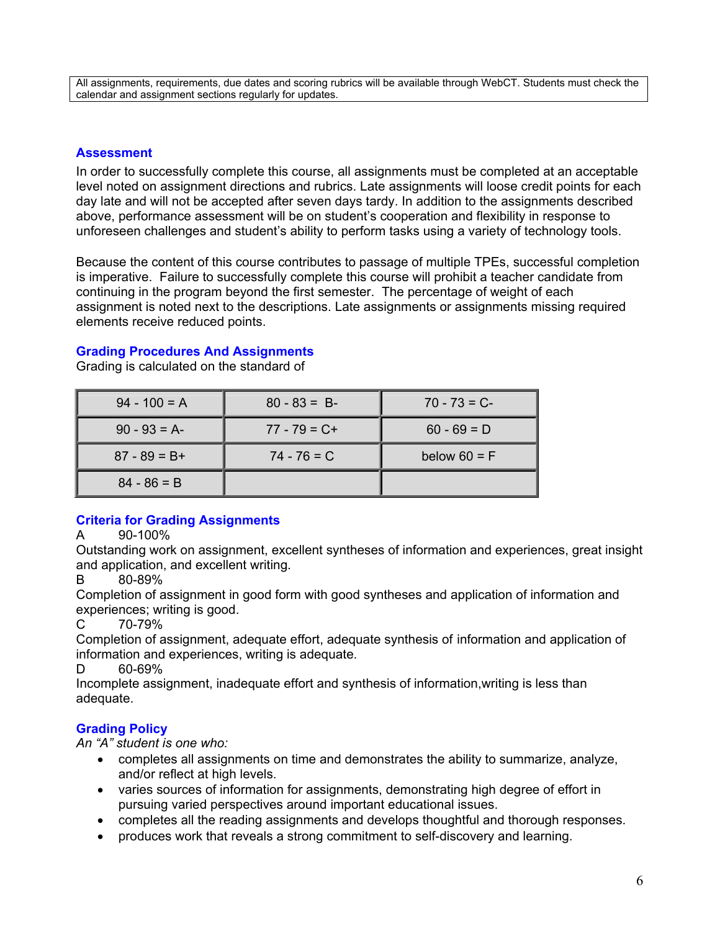All assignments, requirements, due dates and scoring rubrics will be available through WebCT. Students must check the calendar and assignment sections regularly for updates.

#### **Assessment**

In order to successfully complete this course, all assignments must be completed at an acceptable level noted on assignment directions and rubrics. Late assignments will loose credit points for each day late and will not be accepted after seven days tardy. In addition to the assignments described above, performance assessment will be on student's cooperation and flexibility in response to unforeseen challenges and student's ability to perform tasks using a variety of technology tools.

Because the content of this course contributes to passage of multiple TPEs, successful completion is imperative. Failure to successfully complete this course will prohibit a teacher candidate from continuing in the program beyond the first semester. The percentage of weight of each assignment is noted next to the descriptions. Late assignments or assignments missing required elements receive reduced points.

# **Grading Procedures And Assignments**

| $94 - 100 = A$  | $80 - 83 = B$   | $70 - 73 = C$  |
|-----------------|-----------------|----------------|
| $90 - 93 = A$   | $77 - 79 = C +$ | $60 - 69 = D$  |
| $87 - 89 = B +$ | $74 - 76 = C$   | below $60 = F$ |
| $84 - 86 = B$   |                 |                |

Grading is calculated on the standard of

## **Criteria for Grading Assignments**

#### A 90-100%

Outstanding work on assignment, excellent syntheses of information and experiences, great insight and application, and excellent writing.

#### B 80-89%

Completion of assignment in good form with good syntheses and application of information and experiences; writing is good.

## $C_{2}$  70-79%

Completion of assignment, adequate effort, adequate synthesis of information and application of information and experiences, writing is adequate.

D 60-69%

Incomplete assignment, inadequate effort and synthesis of information,writing is less than adequate.

# **Grading Policy**

*An "A" student is one who:* 

- completes all assignments on time and demonstrates the ability to summarize, analyze, and/or reflect at high levels.
- varies sources of information for assignments, demonstrating high degree of effort in pursuing varied perspectives around important educational issues.
- completes all the reading assignments and develops thoughtful and thorough responses.
- produces work that reveals a strong commitment to self-discovery and learning.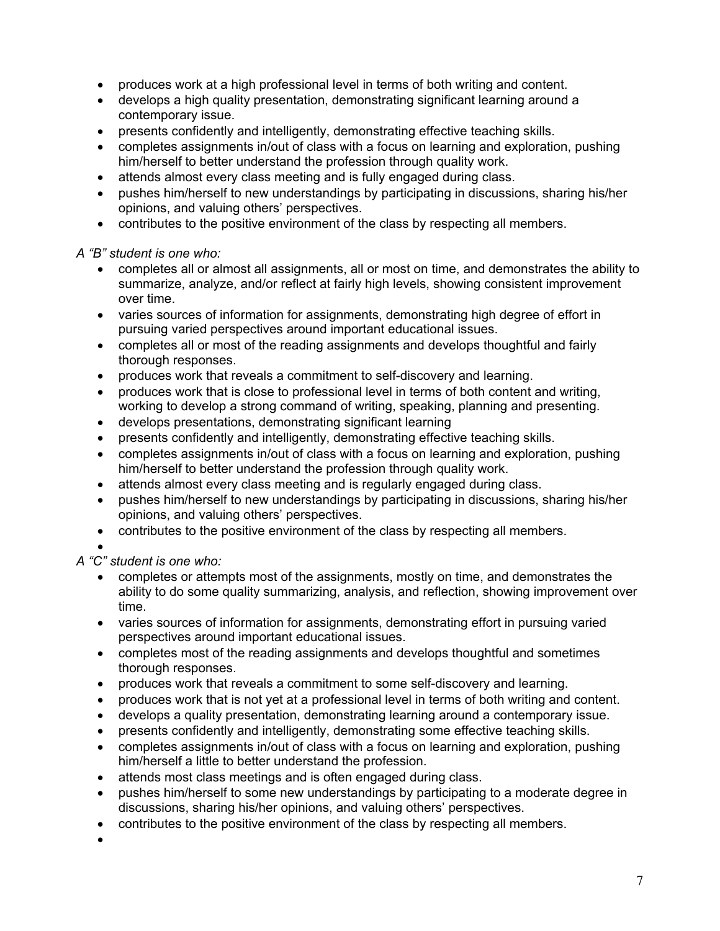- produces work at a high professional level in terms of both writing and content.
- develops a high quality presentation, demonstrating significant learning around a contemporary issue.
- presents confidently and intelligently, demonstrating effective teaching skills.
- completes assignments in/out of class with a focus on learning and exploration, pushing him/herself to better understand the profession through quality work.
- attends almost every class meeting and is fully engaged during class.
- pushes him/herself to new understandings by participating in discussions, sharing his/her opinions, and valuing others' perspectives.
- contributes to the positive environment of the class by respecting all members.

*A "B" student is one who:* 

- completes all or almost all assignments, all or most on time, and demonstrates the ability to summarize, analyze, and/or reflect at fairly high levels, showing consistent improvement over time.
- varies sources of information for assignments, demonstrating high degree of effort in pursuing varied perspectives around important educational issues.
- completes all or most of the reading assignments and develops thoughtful and fairly thorough responses.
- produces work that reveals a commitment to self-discovery and learning.
- produces work that is close to professional level in terms of both content and writing, working to develop a strong command of writing, speaking, planning and presenting.
- develops presentations, demonstrating significant learning
- presents confidently and intelligently, demonstrating effective teaching skills.
- completes assignments in/out of class with a focus on learning and exploration, pushing him/herself to better understand the profession through quality work.
- attends almost every class meeting and is regularly engaged during class.
- pushes him/herself to new understandings by participating in discussions, sharing his/her opinions, and valuing others' perspectives.
- contributes to the positive environment of the class by respecting all members.

# •

*A "C" student is one who:* 

- completes or attempts most of the assignments, mostly on time, and demonstrates the ability to do some quality summarizing, analysis, and reflection, showing improvement over time.
- varies sources of information for assignments, demonstrating effort in pursuing varied perspectives around important educational issues.
- completes most of the reading assignments and develops thoughtful and sometimes thorough responses.
- produces work that reveals a commitment to some self-discovery and learning.
- produces work that is not yet at a professional level in terms of both writing and content.
- develops a quality presentation, demonstrating learning around a contemporary issue.
- presents confidently and intelligently, demonstrating some effective teaching skills.
- completes assignments in/out of class with a focus on learning and exploration, pushing him/herself a little to better understand the profession.
- attends most class meetings and is often engaged during class.
- pushes him/herself to some new understandings by participating to a moderate degree in discussions, sharing his/her opinions, and valuing others' perspectives.
- contributes to the positive environment of the class by respecting all members.
- •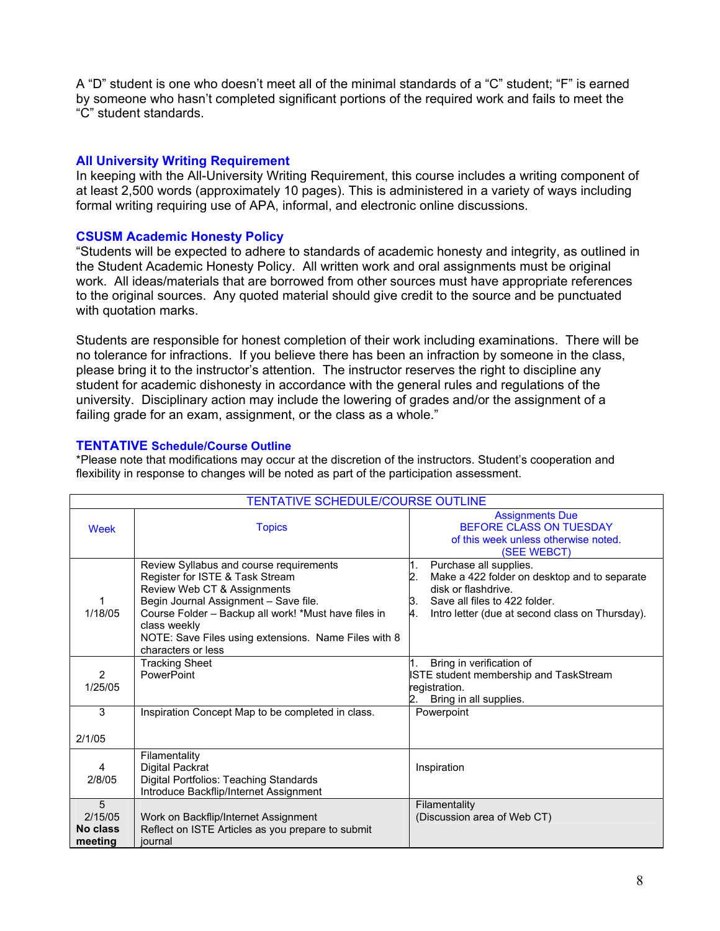A "D" student is one who doesn't meet all of the minimal standards of a "C" student; "F" is earned by someone who hasn't completed significant portions of the required work and fails to meet the "C" student standards.

## **All University Writing Requirement**

In keeping with the All-University Writing Requirement, this course includes a writing component of at least 2,500 words (approximately 10 pages). This is administered in a variety of ways including formal writing requiring use of APA, informal, and electronic online discussions.

### **CSUSM Academic Honesty Policy**

"Students will be expected to adhere to standards of academic honesty and integrity, as outlined in the Student Academic Honesty Policy. All written work and oral assignments must be original work. All ideas/materials that are borrowed from other sources must have appropriate references to the original sources. Any quoted material should give credit to the source and be punctuated with quotation marks.

Students are responsible for honest completion of their work including examinations. There will be no tolerance for infractions. If you believe there has been an infraction by someone in the class, please bring it to the instructor's attention. The instructor reserves the right to discipline any student for academic dishonesty in accordance with the general rules and regulations of the university. Disciplinary action may include the lowering of grades and/or the assignment of a failing grade for an exam, assignment, or the class as a whole."

#### **TENTATIVE Schedule/Course Outline**

\*Please note that modifications may occur at the discretion of the instructors. Student's cooperation and flexibility in response to changes will be noted as part of the participation assessment.

| TENTATIVE SCHEDULE/COURSE OUTLINE          |                                                                                                                                                                                                                                                                                                          |                                                                                                                                                                                                           |  |  |
|--------------------------------------------|----------------------------------------------------------------------------------------------------------------------------------------------------------------------------------------------------------------------------------------------------------------------------------------------------------|-----------------------------------------------------------------------------------------------------------------------------------------------------------------------------------------------------------|--|--|
| Week                                       | <b>Topics</b>                                                                                                                                                                                                                                                                                            | <b>Assignments Due</b><br>BEFORE CLASS ON TUESDAY<br>of this week unless otherwise noted.<br>(SEE WEBCT)                                                                                                  |  |  |
| 1<br>1/18/05                               | Review Syllabus and course requirements<br>Register for ISTE & Task Stream<br>Review Web CT & Assignments<br>Begin Journal Assignment - Save file.<br>Course Folder - Backup all work! *Must have files in<br>class weekly<br>NOTE: Save Files using extensions. Name Files with 8<br>characters or less | Purchase all supplies.<br>1.<br>Make a 422 folder on desktop and to separate<br>2.<br>disk or flashdrive.<br>Save all files to 422 folder.<br>З.<br>Intro letter (due at second class on Thursday).<br>4. |  |  |
| $\overline{2}$<br>1/25/05                  | <b>Tracking Sheet</b><br>PowerPoint                                                                                                                                                                                                                                                                      | Bring in verification of<br><b>ISTE student membership and TaskStream</b><br>registration.<br>Bring in all supplies.                                                                                      |  |  |
| 3                                          | Inspiration Concept Map to be completed in class.                                                                                                                                                                                                                                                        | Powerpoint                                                                                                                                                                                                |  |  |
| 2/1/05                                     |                                                                                                                                                                                                                                                                                                          |                                                                                                                                                                                                           |  |  |
| 4<br>2/8/05                                | Filamentality<br>Digital Packrat<br>Digital Portfolios: Teaching Standards<br>Introduce Backflip/Internet Assignment                                                                                                                                                                                     | Inspiration                                                                                                                                                                                               |  |  |
| 5<br>2/15/05<br><b>No class</b><br>meeting | Work on Backflip/Internet Assignment<br>Reflect on ISTE Articles as you prepare to submit<br>iournal                                                                                                                                                                                                     | Filamentality<br>(Discussion area of Web CT)                                                                                                                                                              |  |  |